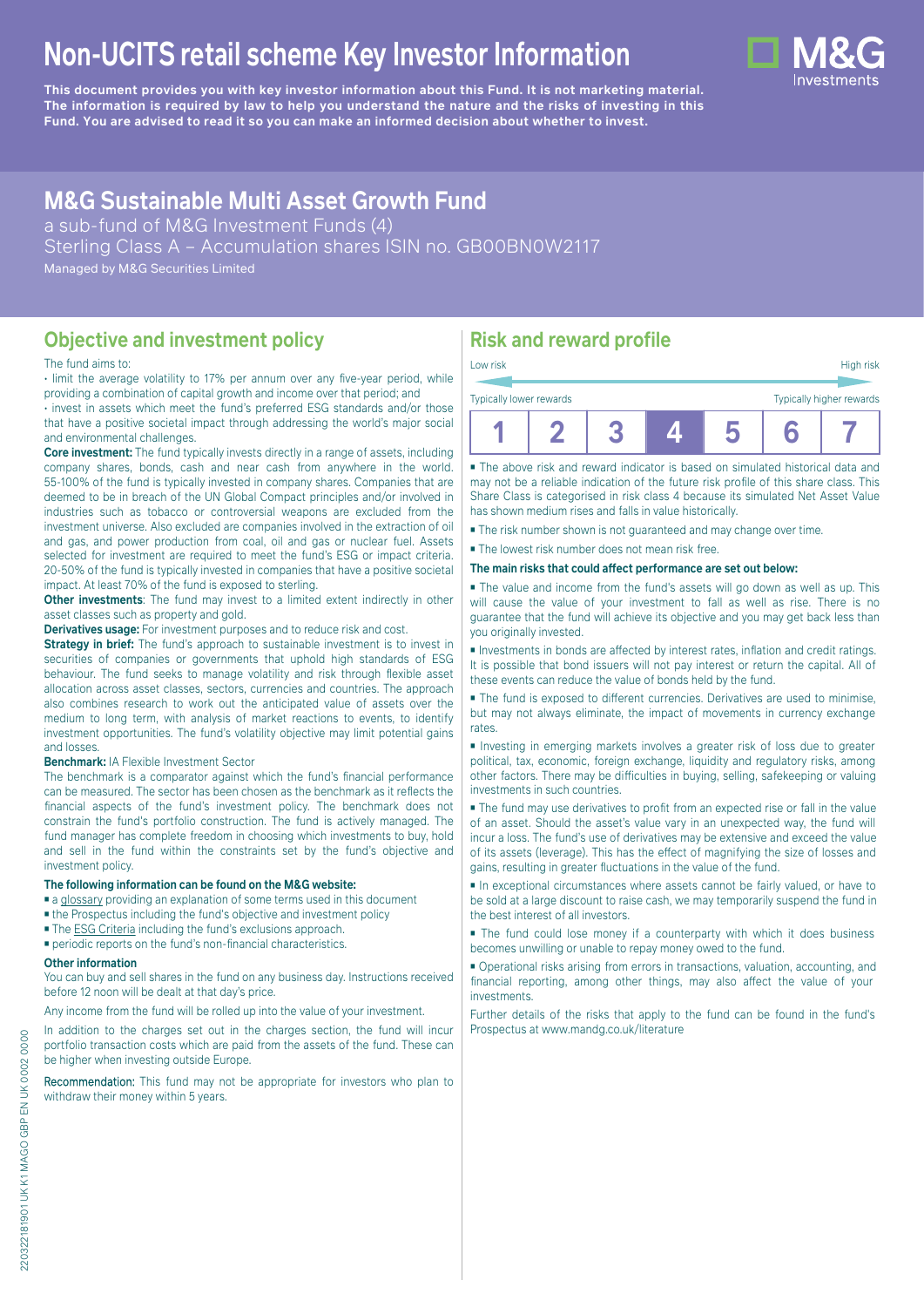# **Non-UCITS retail scheme Key Investor Information**

**This document provides you with key investor information about this Fund. It is not marketing material.** The information is required by law to help you understand the nature and the risks of investing in this **Fund. You are advised to read it so you can make an informed decision about whether to invest.**

## **M&G Sustainable Multi Asset Growth Fund**

a sub-fund of M&G Investment Funds (4) Sterling Class A – Accumulation shares ISIN no. GB00BN0W2117 Managed by M&G Securities Limited

**Objective and investment policy**

#### The fund aims to:

• limit the average volatility to 17% per annum over any five-year period, while providing a combination of capital growth and income over that period; and

• invest in assets which meet the fund's preferred ESG standards and/or those that have a positive societal impact through addressing the world's major social and environmental challenges.

**Core investment:** The fund typically invests directly in a range of assets, including company shares, bonds, cash and near cash from anywhere in the world. 55-100% of the fund is typically invested in company shares. Companies that are deemed to be in breach of the UN Global Compact principles and/or involved in industries such as tobacco or controversial weapons are excluded from the investment universe. Also excluded are companies involved in the extraction of oil and gas, and power production from coal, oil and gas or nuclear fuel. Assets selected for investment are required to meet the fund's ESG or impact criteria. 20-50% of the fund is typically invested in companies that have a positive societal impact. At least 70% of the fund is exposed to sterling.

**Other investments**: The fund may invest to a limited extent indirectly in other asset classes such as property and gold.

**Derivatives usage:** For investment purposes and to reduce risk and cost.

**Strategy in brief:** The fund's approach to sustainable investment is to invest in securities of companies or governments that uphold high standards of ESG behaviour. The fund seeks to manage volatility and risk through flexible asset allocation across asset classes, sectors, currencies and countries. The approach also combines research to work out the anticipated value of assets over the medium to long term, with analysis of market reactions to events, to identify investment opportunities. The fund's volatility objective may limit potential gains and losses.

#### **Benchmark:** IA Flexible Investment Sector

The benchmark is a comparator against which the fund's financial performance can be measured. The sector has been chosen as the benchmark as it reflects the financial aspects of the fund's investment policy. The benchmark does not constrain the fund's portfolio construction. The fund is actively managed. The fund manager has complete freedom in choosing which investments to buy, hold and sell in the fund within the constraints set by the fund's objective and investment policy.

#### **The following information can be found on the M&G website:**

- [a glossary](https://docs.mandg.com/docs/glossary-master-en.pdf) providing an explanation of some terms used in this document
- the Prospectus including the fund's objective and investment policy
- The **[ESG Criteria](https://www.mandg.com/dam/investments/common/gb/en/documents/funds-literature/fund-specific-files/mandg-sustainable-multi-asset-funds-esg-policy-and-process.pdf )** including the fund's exclusions approach.
- periodic reports on the fund's non-financial characteristics.

#### **Other information**

You can buy and sell shares in the fund on any business day. Instructions received before 12 noon will be dealt at that day's price.

Any income from the fund will be rolled up into the value of your investment.

In addition to the charges set out in the charges section, the fund will incur portfolio transaction costs which are paid from the assets of the fund. These can be higher when investing outside Europe.

Recommendation: This fund may not be appropriate for investors who plan to withdraw their money within 5 years.

## **Risk and reward profile**

| Low risk                |  |  | High risk                |
|-------------------------|--|--|--------------------------|
| Typically lower rewards |  |  | Typically higher rewards |
|                         |  |  |                          |

■ The above risk and reward indicator is based on simulated historical data and may not be a reliable indication of the future risk profile of this share class. This Share Class is categorised in risk class 4 because its simulated Net Asset Value has shown medium rises and falls in value historically.

■ The risk number shown is not guaranteed and may change over time.

■ The lowest risk number does not mean risk free.

**The main risks that could affect performance are set out below:**

■ The value and income from the fund's assets will go down as well as up. This will cause the value of your investment to fall as well as rise. There is no guarantee that the fund will achieve its objective and you may get back less than you originally invested.

■ Investments in bonds are affected by interest rates, inflation and credit ratings. It is possible that bond issuers will not pay interest or return the capital. All of these events can reduce the value of bonds held by the fund.

■ The fund is exposed to different currencies. Derivatives are used to minimise, but may not always eliminate, the impact of movements in currency exchange rates.

■ Investing in emerging markets involves a greater risk of loss due to greater political, tax, economic, foreign exchange, liquidity and regulatory risks, among other factors. There may be difficulties in buying, selling, safekeeping or valuing investments in such countries.

■ The fund may use derivatives to profit from an expected rise or fall in the value of an asset. Should the asset's value vary in an unexpected way, the fund will incur a loss. The fund's use of derivatives may be extensive and exceed the value of its assets (leverage). This has the effect of magnifying the size of losses and gains, resulting in greater fluctuations in the value of the fund.

■ In exceptional circumstances where assets cannot be fairly valued, or have to be sold at a large discount to raise cash, we may temporarily suspend the fund in the best interest of all investors.

■ The fund could lose money if a counterparty with which it does business becomes unwilling or unable to repay money owed to the fund.

■ Operational risks arising from errors in transactions, valuation, accounting, and financial reporting, among other things, may also affect the value of your investments.

Further details of the risks that apply to the fund can be found in the fund's Prospectus at [www.mandg.co.uk/literature](http://www.mandg.co.uk/literature)